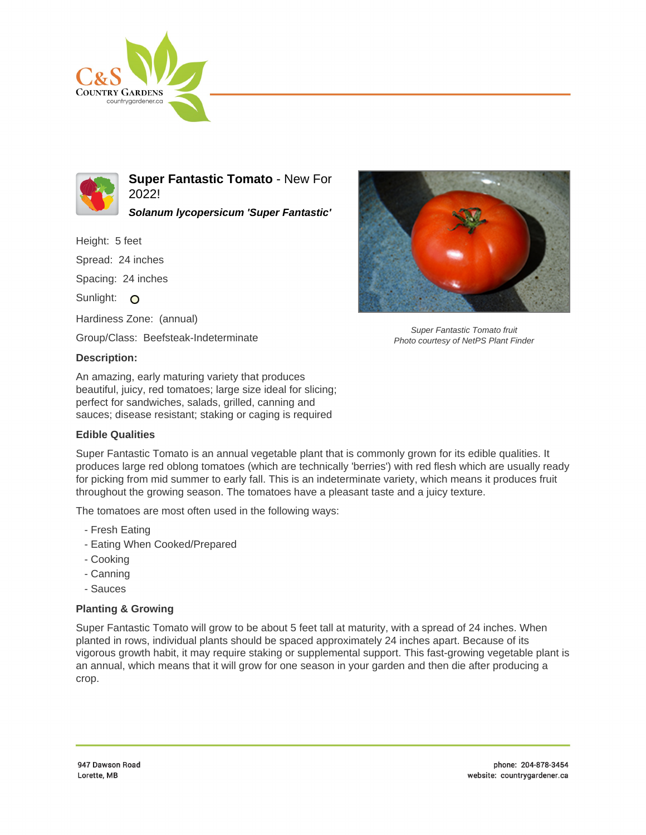



**Super Fantastic Tomato** - New For 2022!

**Solanum lycopersicum 'Super Fantastic'**

Height: 5 feet

Spread: 24 inches

Spacing: 24 inches

Sunlight: O

Hardiness Zone: (annual)

Group/Class: Beefsteak-Indeterminate

## **Description:**

An amazing, early maturing variety that produces beautiful, juicy, red tomatoes; large size ideal for slicing; perfect for sandwiches, salads, grilled, canning and sauces; disease resistant; staking or caging is required

## **Edible Qualities**

Super Fantastic Tomato is an annual vegetable plant that is commonly grown for its edible qualities. It produces large red oblong tomatoes (which are technically 'berries') with red flesh which are usually ready for picking from mid summer to early fall. This is an indeterminate variety, which means it produces fruit throughout the growing season. The tomatoes have a pleasant taste and a juicy texture.

The tomatoes are most often used in the following ways:

- Fresh Eating
- Eating When Cooked/Prepared
- Cooking
- Canning
- Sauces

## **Planting & Growing**

Super Fantastic Tomato will grow to be about 5 feet tall at maturity, with a spread of 24 inches. When planted in rows, individual plants should be spaced approximately 24 inches apart. Because of its vigorous growth habit, it may require staking or supplemental support. This fast-growing vegetable plant is an annual, which means that it will grow for one season in your garden and then die after producing a crop.



Super Fantastic Tomato fruit Photo courtesy of NetPS Plant Finder